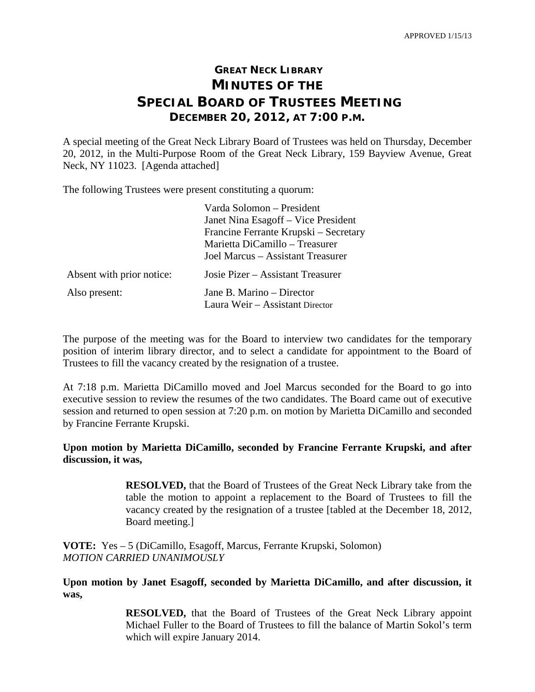## **GREAT NECK LIBRARY MINUTES OF THE SPECIAL BOARD OF TRUSTEES MEETING DECEMBER 20, 2012, AT 7:00 P.M.**

A special meeting of the Great Neck Library Board of Trustees was held on Thursday, December 20, 2012, in the Multi-Purpose Room of the Great Neck Library, 159 Bayview Avenue, Great Neck, NY 11023. [Agenda attached]

The following Trustees were present constituting a quorum:

|                           | Varda Solomon – President             |
|---------------------------|---------------------------------------|
|                           | Janet Nina Esagoff – Vice President   |
|                           | Francine Ferrante Krupski – Secretary |
|                           | Marietta DiCamillo – Treasurer        |
|                           | Joel Marcus – Assistant Treasurer     |
| Absent with prior notice: | Josie Pizer – Assistant Treasurer     |
| Also present:             | Jane B. Marino – Director             |
|                           | Laura Weir - Assistant Director       |

The purpose of the meeting was for the Board to interview two candidates for the temporary position of interim library director, and to select a candidate for appointment to the Board of Trustees to fill the vacancy created by the resignation of a trustee.

At 7:18 p.m. Marietta DiCamillo moved and Joel Marcus seconded for the Board to go into executive session to review the resumes of the two candidates. The Board came out of executive session and returned to open session at 7:20 p.m. on motion by Marietta DiCamillo and seconded by Francine Ferrante Krupski.

**Upon motion by Marietta DiCamillo, seconded by Francine Ferrante Krupski, and after discussion, it was,**

> **RESOLVED,** that the Board of Trustees of the Great Neck Library take from the table the motion to appoint a replacement to the Board of Trustees to fill the vacancy created by the resignation of a trustee [tabled at the December 18, 2012, Board meeting.]

**VOTE:** Yes – 5 (DiCamillo, Esagoff, Marcus, Ferrante Krupski, Solomon) *MOTION CARRIED UNANIMOUSLY*

**Upon motion by Janet Esagoff, seconded by Marietta DiCamillo, and after discussion, it was,**

> **RESOLVED,** that the Board of Trustees of the Great Neck Library appoint Michael Fuller to the Board of Trustees to fill the balance of Martin Sokol's term which will expire January 2014.